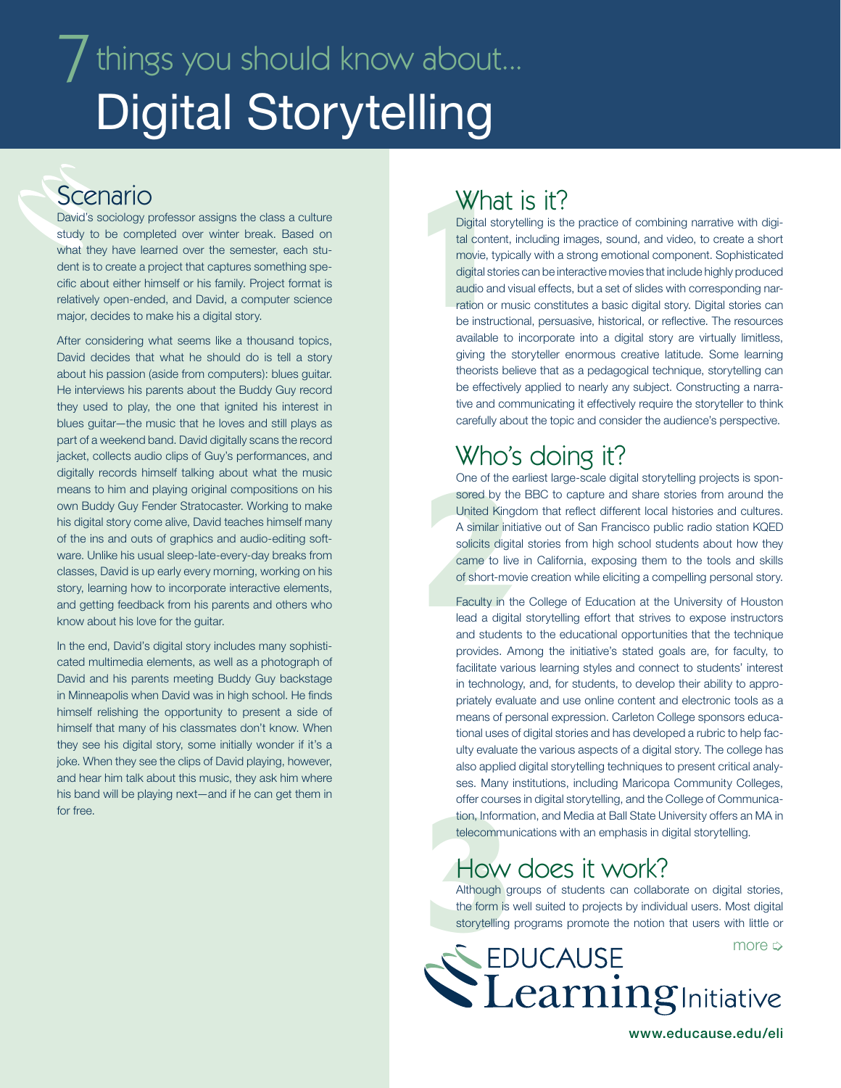# $\overline{J}$  things you should know about... Digital Storytelling

### Scenario

David's sociology professor assigns the class a culture study to be completed over winter break. Based on what they have learned over the semester, each student is to create a project that captures something specific about either himself or his family. Project format is relatively open-ended, and David, a computer science major, decides to make his a digital story.

After considering what seems like a thousand topics, David decides that what he should do is tell a story about his passion (aside from computers): blues guitar. He interviews his parents about the Buddy Guy record they used to play, the one that ignited his interest in blues guitar—the music that he loves and still plays as part of a weekend band. David digitally scans the record jacket, collects audio clips of Guy's performances, and digitally records himself talking about what the music means to him and playing original compositions on his own Buddy Guy Fender Stratocaster. Working to make his digital story come alive, David teaches himself many of the ins and outs of graphics and audio-editing software. Unlike his usual sleep-late-every-day breaks from classes, David is up early every morning, working on his story, learning how to incorporate interactive elements, and getting feedback from his parents and others who know about his love for the guitar.

In the end, David's digital story includes many sophisticated multimedia elements, as well as a photograph of David and his parents meeting Buddy Guy backstage in Minneapolis when David was in high school. He finds himself relishing the opportunity to present a side of himself that many of his classmates don't know. When they see his digital story, some initially wonder if it's a joke. When they see the clips of David playing, however, and hear him talk about this music, they ask him where his band will be playing next—and if he can get them in for free.

### What is it?

What<br>
Digital stor<br>
tal content<br>
movie, typi<br>
digital stori<br>
audio and<br>
ration or m<br>
be instruct<br>
available to Digital storytelling is the practice of combining narrative with digital content, including images, sound, and video, to create a short movie, typically with a strong emotional component. Sophisticated digital stories can be interactive movies that include highly produced audio and visual effects, but a set of slides with corresponding narration or music constitutes a basic digital story. Digital stories can be instructional, persuasive, historical, or reflective. The resources available to incorporate into a digital story are virtually limitless, giving the storyteller enormous creative latitude. Some learning theorists believe that as a pedagogical technique, storytelling can be effectively applied to nearly any subject. Constructing a narrative and communicating it effectively require the storyteller to think carefully about the topic and consider the audience's perspective.

## Who's doing it?

One of the early the<br>sored by the<br>United Kingo<br>A similar initial<br>solicits digita<br>came to live<br>of short-mov<br>Faculty in the lead a digita<br>and students One of the earliest large-scale digital storytelling projects is sponsored by the BBC to capture and share stories from around the United Kingdom that reflect different local histories and cultures. A similar initiative out of San Francisco public radio station KQED solicits digital stories from high school students about how they came to live in California, exposing them to the tools and skills of short-movie creation while eliciting a compelling personal story.

Faculty in the College of Education at the University of Houston lead a digital storytelling effort that strives to expose instructors and students to the educational opportunities that the technique provides. Among the initiative's stated goals are, for faculty, to facilitate various learning styles and connect to students' interest in technology, and, for students, to develop their ability to appropriately evaluate and use online content and electronic tools as a means of personal expression. Carleton College sponsors educational uses of digital stories and has developed a rubric to help faculty evaluate the various aspects of a digital story. The college has also applied digital storytelling techniques to present critical analyses. Many institutions, including Maricopa Community Colleges, offer courses in digital storytelling, and the College of Communication, Information, and Media at Ball State University offers an MA in telecommunications with an emphasis in digital storytelling.

## How does it work?

The Courses in digital storytelling, and the College of Communication, Information, and Media at Ball State University offers an MA in telecommunications with an emphasis in digital storytelling.<br>
HOW COCS IT WOIR?<br>
Althou Although groups of students can collaborate on digital stories, the form is well suited to projects by individual users. Most digital storytelling programs promote the notion that users with little or



www.educause.edu/eli